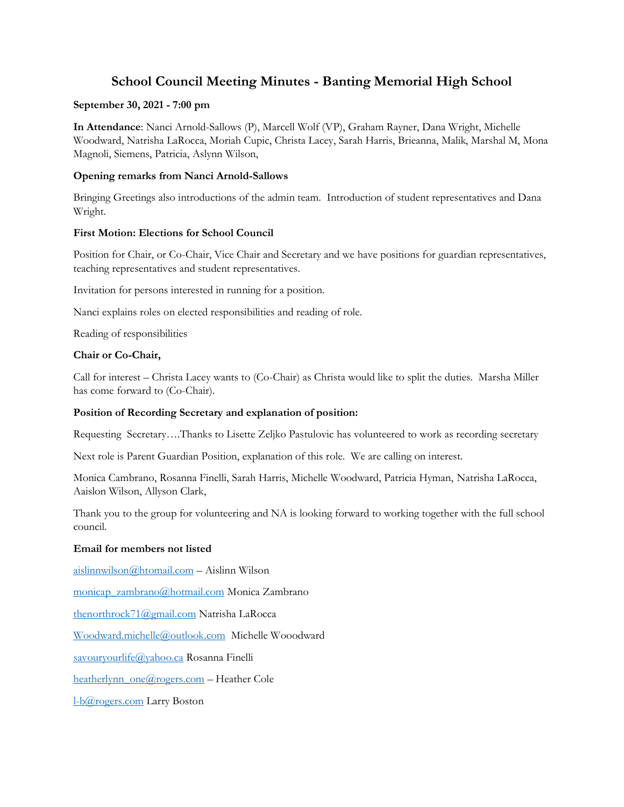# **School Council Meeting Minutes - Banting Memorial High School**

### **September 30, 2021 - 7:00 pm**

**In Attendance**: Nanci Arnold-Sallows (P), Marcell Wolf (VP), Graham Rayner, Dana Wright, Michelle Woodward, Natrisha LaRocca, Moriah Cupic, Christa Lacey, Sarah Harris, Brieanna, Malik, Marshal M, Mona Magnoli, Siemens, Patricia, Aslynn Wilson,

## **Opening remarks from Nanci Arnold-Sallows**

Bringing Greetings also introductions of the admin team. Introduction of student representatives and Dana Wright.

## **First Motion: Elections for School Council**

Position for Chair, or Co-Chair, Vice Chair and Secretary and we have positions for guardian representatives, teaching representatives and student representatives.

Invitation for persons interested in running for a position.

Nanci explains roles on elected responsibilities and reading of role.

Reading of responsibilities

## **Chair or Co-Chair,**

Call for interest – Christa Lacey wants to (Co-Chair) as Christa would like to split the duties. Marsha Miller has come forward to (Co-Chair).

### **Position of Recording Secretary and explanation of position:**

Requesting Secretary….Thanks to Lisette Zeljko Pastulovic has volunteered to work as recording secretary

Next role is Parent Guardian Position, explanation of this role. We are calling on interest.

Monica Cambrano, Rosanna Finelli, Sarah Harris, Michelle Woodward, Patricia Hyman, Natrisha LaRocca, Aaislon Wilson, Allyson Clark,

Thank you to the group for volunteering and NA is looking forward to working together with the full school council.

### **Email for members not listed**

[aislinnwilson@htomail.com](mailto:aislinnwilson@htomail.com) – Aislinn Wilson [monicap\\_zambrano@hotmail.com](mailto:monicap_zambrano@hotmail.com) Monica Zambrano [thenorthrock71@gmail.com](mailto:thenorthrock71@gmail.com) Natrisha LaRocca [Woodward.michelle@outlook.com](mailto:Woodward.michelle@outlook.com) Michelle Wooodward [savouryourlife@yahoo.ca](mailto:savouryourlife@yahoo.ca) Rosanna Finelli [heatherlynn\\_one@rogers.com](mailto:heatherlynn_one@rogers.com) – Heather Cole

[l-b@rogers.com](mailto:l-b@rogers.com) Larry Boston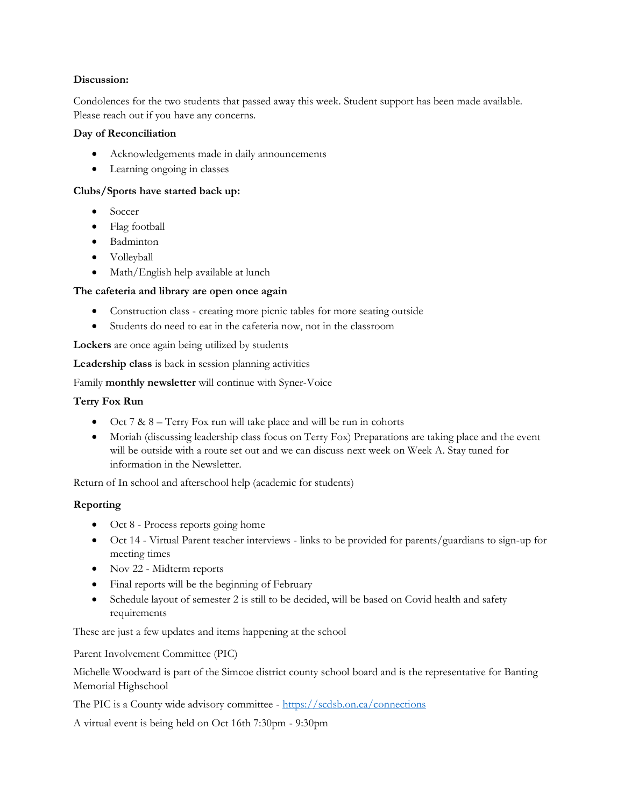### **Discussion:**

Condolences for the two students that passed away this week. Student support has been made available. Please reach out if you have any concerns.

### **Day of Reconciliation**

- Acknowledgements made in daily announcements
- Learning ongoing in classes

### **Clubs/Sports have started back up:**

- Soccer
- Flag football
- Badminton
- Volleyball
- Math/English help available at lunch

### **The cafeteria and library are open once again**

- Construction class creating more picnic tables for more seating outside
- Students do need to eat in the cafeteria now, not in the classroom

**Lockers** are once again being utilized by students

**Leadership class** is back in session planning activities

Family **monthly newsletter** will continue with Syner-Voice

### **Terry Fox Run**

- Oct 7 & 8 Terry Fox run will take place and will be run in cohorts
- Moriah (discussing leadership class focus on Terry Fox) Preparations are taking place and the event will be outside with a route set out and we can discuss next week on Week A. Stay tuned for information in the Newsletter.

Return of In school and afterschool help (academic for students)

### **Reporting**

- Oct 8 Process reports going home
- Oct 14 Virtual Parent teacher interviews links to be provided for parents/guardians to sign-up for meeting times
- Nov 22 Midterm reports
- Final reports will be the beginning of February
- Schedule layout of semester 2 is still to be decided, will be based on Covid health and safety requirements

These are just a few updates and items happening at the school

Parent Involvement Committee (PIC)

Michelle Woodward is part of the Simcoe district county school board and is the representative for Banting Memorial Highschool

The PIC is a County wide advisory committee - <https://scdsb.on.ca/connections>

A virtual event is being held on Oct 16th 7:30pm - 9:30pm